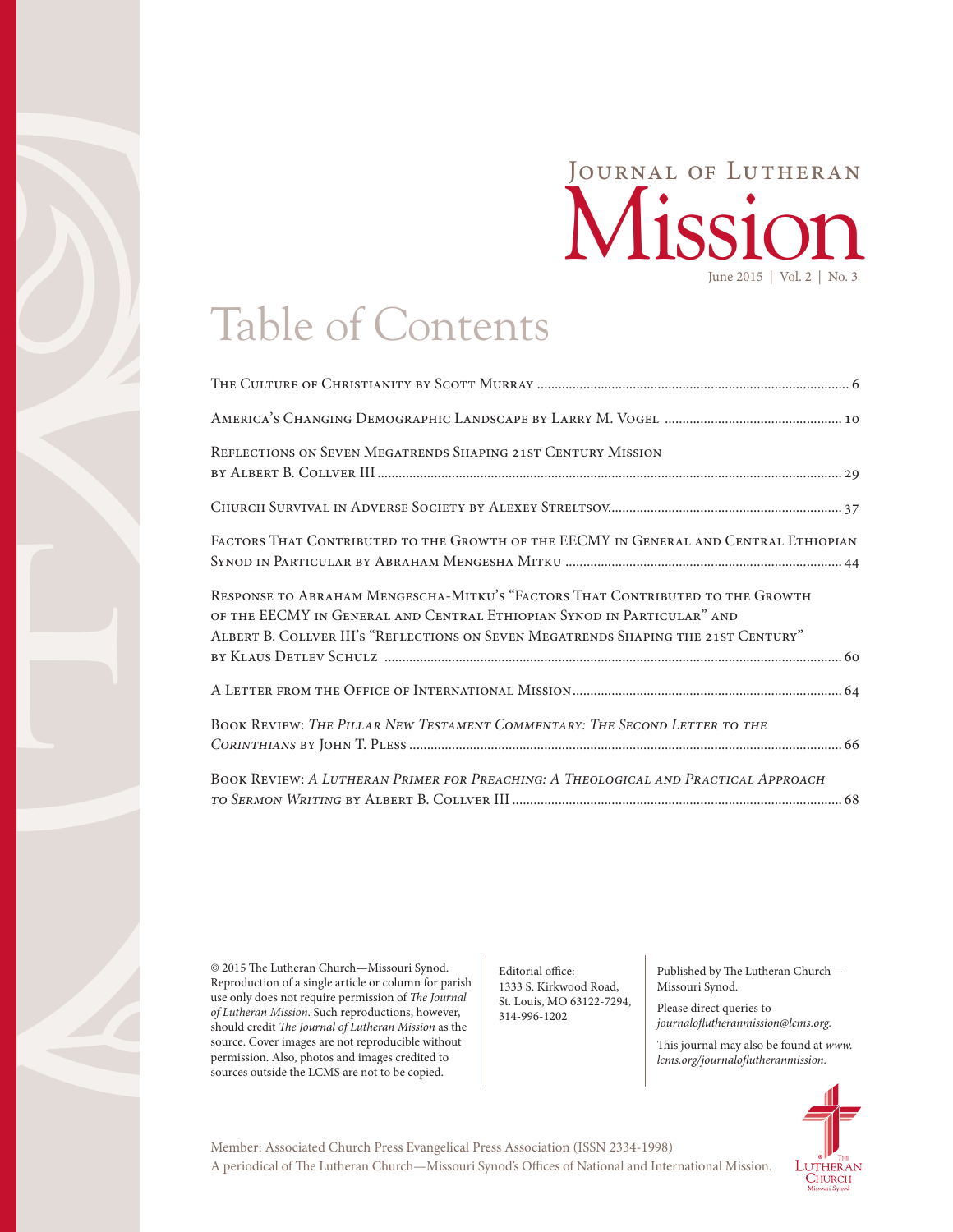## Mission Journal of Lutheran June 2015 | Vol. 2 | No. 3

## Table of Contents

| REFLECTIONS ON SEVEN MEGATRENDS SHAPING 21ST CENTURY MISSION                                                                                                                                                                                  |
|-----------------------------------------------------------------------------------------------------------------------------------------------------------------------------------------------------------------------------------------------|
|                                                                                                                                                                                                                                               |
| FACTORS THAT CONTRIBUTED TO THE GROWTH OF THE EECMY IN GENERAL AND CENTRAL ETHIOPIAN                                                                                                                                                          |
| RESPONSE TO ABRAHAM MENGESCHA-MITKU'S "FACTORS THAT CONTRIBUTED TO THE GROWTH<br>OF THE EECMY IN GENERAL AND CENTRAL ETHIOPIAN SYNOD IN PARTICULAR" AND<br>ALBERT B. COLLVER III's "REFLECTIONS ON SEVEN MEGATRENDS SHAPING THE 21ST CENTURY" |
|                                                                                                                                                                                                                                               |
| BOOK REVIEW: THE PILLAR NEW TESTAMENT COMMENTARY: THE SECOND LETTER TO THE                                                                                                                                                                    |
| BOOK REVIEW: A LUTHERAN PRIMER FOR PREACHING: A THEOLOGICAL AND PRACTICAL APPROACH                                                                                                                                                            |

© 2015 The Lutheran Church—Missouri Synod. Reproduction of a single article or column for parish use only does not require permission of *The Journal of Lutheran Mission*. Such reproductions, however, should credit *The Journal of Lutheran Mission* as the source. Cover images are not reproducible without permission. Also, photos and images credited to sources outside the LCMS are not to be copied.

Editorial office: 1333 S. Kirkwood Road, St. Louis, MO 63122-7294, 314-996-1202

Published by The Lutheran Church— Missouri Synod.

Please direct queries to *journaloflutheranmission@lcms.org.*

This journal may also be found at *[www.](http://www.lcms.org/journalofluthermission) [lcms.org/journaloflutheranmission](http://www.lcms.org/journalofluthermission).*



A periodical of The Lutheran Church—Missouri Synod's Offices of National and International Mission. Member: Associated Church Press Evangelical Press Association (ISSN 2334-1998)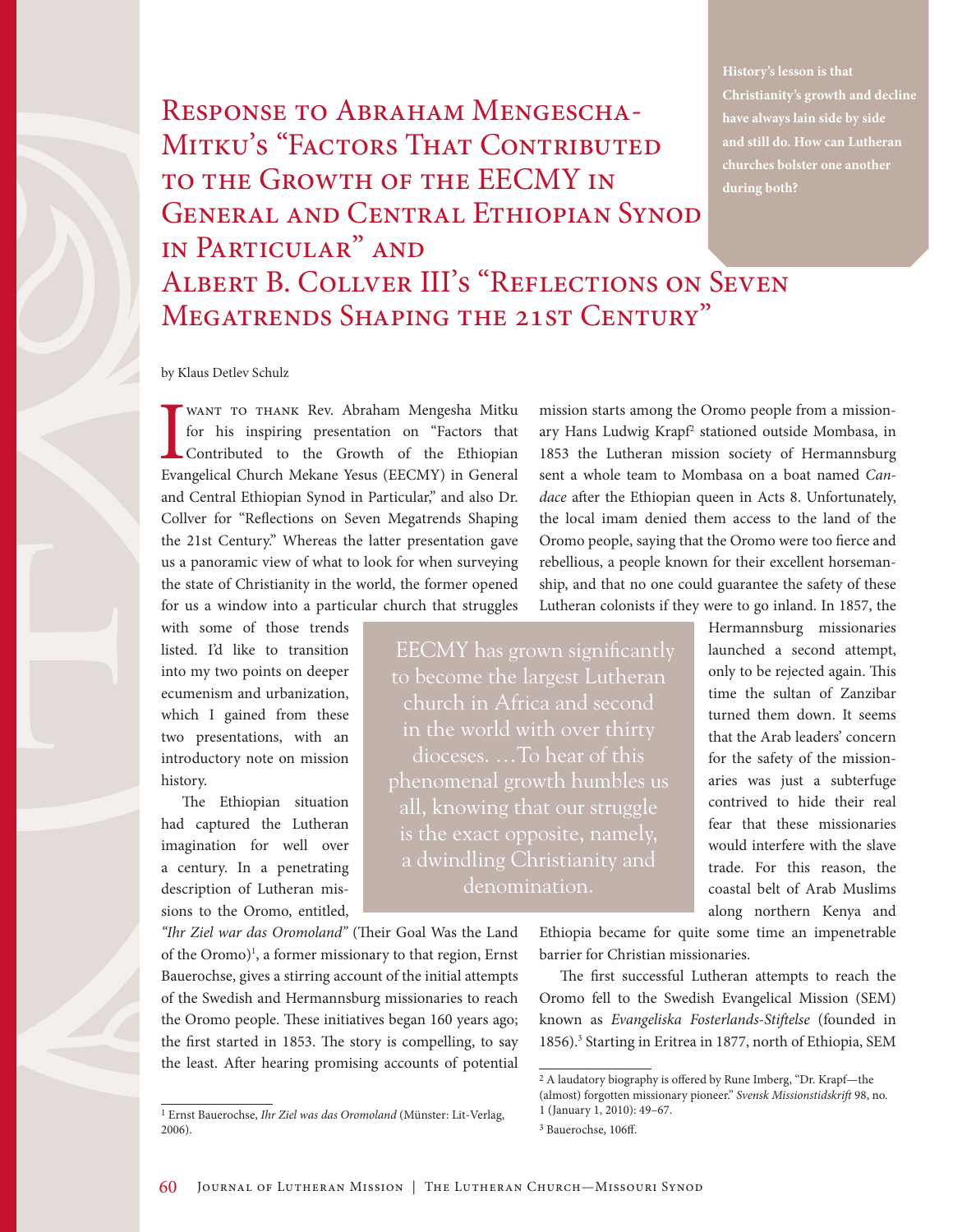RESPONSE TO ABRAHAM MENGESCHA-MITKU'S "FACTORS THAT CONTRIBUTED to the Growth of the EECMY in General and Central Ethiopian Synod in Particular" and ALBERT B. COLLVER III'S "REFLECTIONS ON SEVEN MEGATRENDS SHAPING THE 21ST CENTURY"

**Christianity's growth and decline and still do. How can Lutheran during both?**

## by Klaus Detlev Schulz

WANT TO THANK Rev. Abraham Mengesha Mitku<br>for his inspiring presentation on "Factors that<br>Contributed to the Growth of the Ethiopian<br>Evangelical Church Mekane Yesus (EECMY) in General want to thank Rev. Abraham Mengesha Mitku for his inspiring presentation on "Factors that Contributed to the Growth of the Ethiopian and Central Ethiopian Synod in Particular," and also Dr. Collver for "Reflections on Seven Megatrends Shaping the 21st Century." Whereas the latter presentation gave us a panoramic view of what to look for when surveying the state of Christianity in the world, the former opened for us a window into a particular church that struggles

with some of those trends listed. I'd like to transition into my two points on deeper ecumenism and urbanization, which I gained from these two presentations, with an introductory note on mission history.

The Ethiopian situation had captured the Lutheran imagination for well over a century. In a penetrating description of Lutheran missions to the Oromo, entitled,

*"Ihr Ziel war das Oromoland"* (Their Goal Was the Land of the Oromo)<sup>1</sup>, a former missionary to that region, Ernst Bauerochse, gives a stirring account of the initial attempts of the Swedish and Hermannsburg missionaries to reach the Oromo people. These initiatives began 160 years ago; the first started in 1853. The story is compelling, to say the least. After hearing promising accounts of potential

mission starts among the Oromo people from a missionary Hans Ludwig Krapf<sup>2</sup> stationed outside Mombasa, in 1853 the Lutheran mission society of Hermannsburg sent a whole team to Mombasa on a boat named *Candace* after the Ethiopian queen in Acts 8. Unfortunately, the local imam denied them access to the land of the Oromo people, saying that the Oromo were too fierce and rebellious, a people known for their excellent horsemanship, and that no one could guarantee the safety of these Lutheran colonists if they were to go inland. In 1857, the

EECMY has grown significantly to become the largest Lutheran church in Africa and second dioceses. …To hear of this phenomenal growth humbles us all, knowing that our struggle is the exact opposite, namely, denomination.

Hermannsburg missionaries launched a second attempt, only to be rejected again. This time the sultan of Zanzibar turned them down. It seems that the Arab leaders' concern for the safety of the missionaries was just a subterfuge contrived to hide their real fear that these missionaries would interfere with the slave trade. For this reason, the coastal belt of Arab Muslims along northern Kenya and

Ethiopia became for quite some time an impenetrable barrier for Christian missionaries.

The first successful Lutheran attempts to reach the Oromo fell to the Swedish Evangelical Mission (SEM) known as *Evangeliska Fosterlands-Stiftelse* (founded in 1856).<sup>3</sup> Starting in Eritrea in 1877, north of Ethiopia, SEM

<sup>1</sup> Ernst Bauerochse, *Ihr Ziel was das Oromoland* (Münster: Lit-Verlag, 2006).

<sup>2</sup> A laudatory biography is offered by Rune Imberg, "Dr. Krapf—the

<sup>(</sup>almost) forgotten missionary pioneer." *Svensk Missionstidskrift* 98, no.

<sup>1 (</sup>January 1, 2010): 49–67.

<sup>3</sup> Bauerochse, 106ff.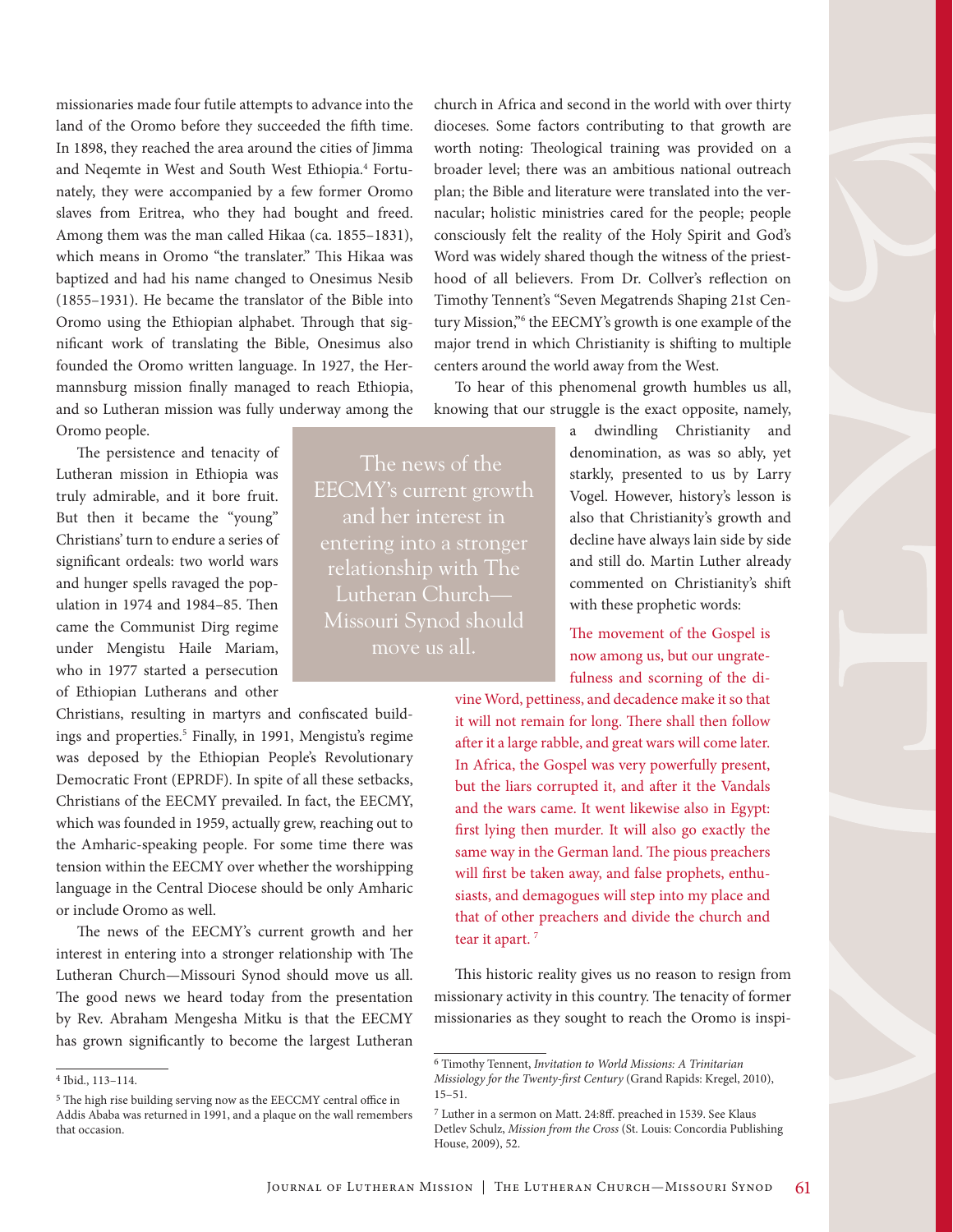missionaries made four futile attempts to advance into the land of the Oromo before they succeeded the fifth time. In 1898, they reached the area around the cities of Jimma and Neqemte in West and South West Ethiopia.<sup>4</sup> Fortunately, they were accompanied by a few former Oromo slaves from Eritrea, who they had bought and freed. Among them was the man called Hikaa (ca. 1855–1831), which means in Oromo "the translater." This Hikaa was baptized and had his name changed to Onesimus Nesib (1855–1931). He became the translator of the Bible into Oromo using the Ethiopian alphabet. Through that significant work of translating the Bible, Onesimus also founded the Oromo written language. In 1927, the Hermannsburg mission finally managed to reach Ethiopia, and so Lutheran mission was fully underway among the Oromo people.

The persistence and tenacity of Lutheran mission in Ethiopia was truly admirable, and it bore fruit. But then it became the "young" Christians' turn to endure a series of significant ordeals: two world wars and hunger spells ravaged the population in 1974 and 1984–85. Then came the Communist Dirg regime under Mengistu Haile Mariam, who in 1977 started a persecution of Ethiopian Lutherans and other

Christians, resulting in martyrs and confiscated buildings and properties.<sup>5</sup> Finally, in 1991, Mengistu's regime was deposed by the Ethiopian People's Revolutionary Democratic Front (EPRDF). In spite of all these setbacks, Christians of the EECMY prevailed. In fact, the EECMY, which was founded in 1959, actually grew, reaching out to the Amharic-speaking people. For some time there was tension within the EECMY over whether the worshipping language in the Central Diocese should be only Amharic or include Oromo as well.

The news of the EECMY's current growth and her interest in entering into a stronger relationship with The Lutheran Church—Missouri Synod should move us all. The good news we heard today from the presentation by Rev. Abraham Mengesha Mitku is that the EECMY has grown significantly to become the largest Lutheran church in Africa and second in the world with over thirty dioceses. Some factors contributing to that growth are worth noting: Theological training was provided on a broader level; there was an ambitious national outreach plan; the Bible and literature were translated into the vernacular; holistic ministries cared for the people; people consciously felt the reality of the Holy Spirit and God's Word was widely shared though the witness of the priesthood of all believers. From Dr. Collver's reflection on Timothy Tennent's "Seven Megatrends Shaping 21st Century Mission,"6 the EECMY's growth is one example of the major trend in which Christianity is shifting to multiple centers around the world away from the West.

To hear of this phenomenal growth humbles us all, knowing that our struggle is the exact opposite, namely,

The news of the EECMY's current growth and her interest in entering into a stronger relationship with The Lutheran Church— Missouri Synod should move us all.

a dwindling Christianity and denomination, as was so ably, yet starkly, presented to us by Larry Vogel. However, history's lesson is also that Christianity's growth and decline have always lain side by side and still do. Martin Luther already commented on Christianity's shift with these prophetic words:

The movement of the Gospel is now among us, but our ungratefulness and scorning of the di-

vine Word, pettiness, and decadence make it so that it will not remain for long. There shall then follow after it a large rabble, and great wars will come later. In Africa, the Gospel was very powerfully present, but the liars corrupted it, and after it the Vandals and the wars came. It went likewise also in Egypt: first lying then murder. It will also go exactly the same way in the German land. The pious preachers will first be taken away, and false prophets, enthusiasts, and demagogues will step into my place and that of other preachers and divide the church and tear it apart.<sup>7</sup>

This historic reality gives us no reason to resign from missionary activity in this country. The tenacity of former missionaries as they sought to reach the Oromo is inspi-

<sup>4</sup> Ibid., 113–114.

<sup>5</sup> The high rise building serving now as the EECCMY central office in Addis Ababa was returned in 1991, and a plaque on the wall remembers that occasion.

<sup>6</sup> Timothy Tennent, *Invitation to World Missions: A Trinitarian Missiology for the Twenty-first Century* (Grand Rapids: Kregel, 2010), 15–51.

<sup>7</sup> Luther in a sermon on Matt. 24:8ff. preached in 1539. See Klaus Detlev Schulz, *Mission from the Cross* (St. Louis: Concordia Publishing House, 2009), 52.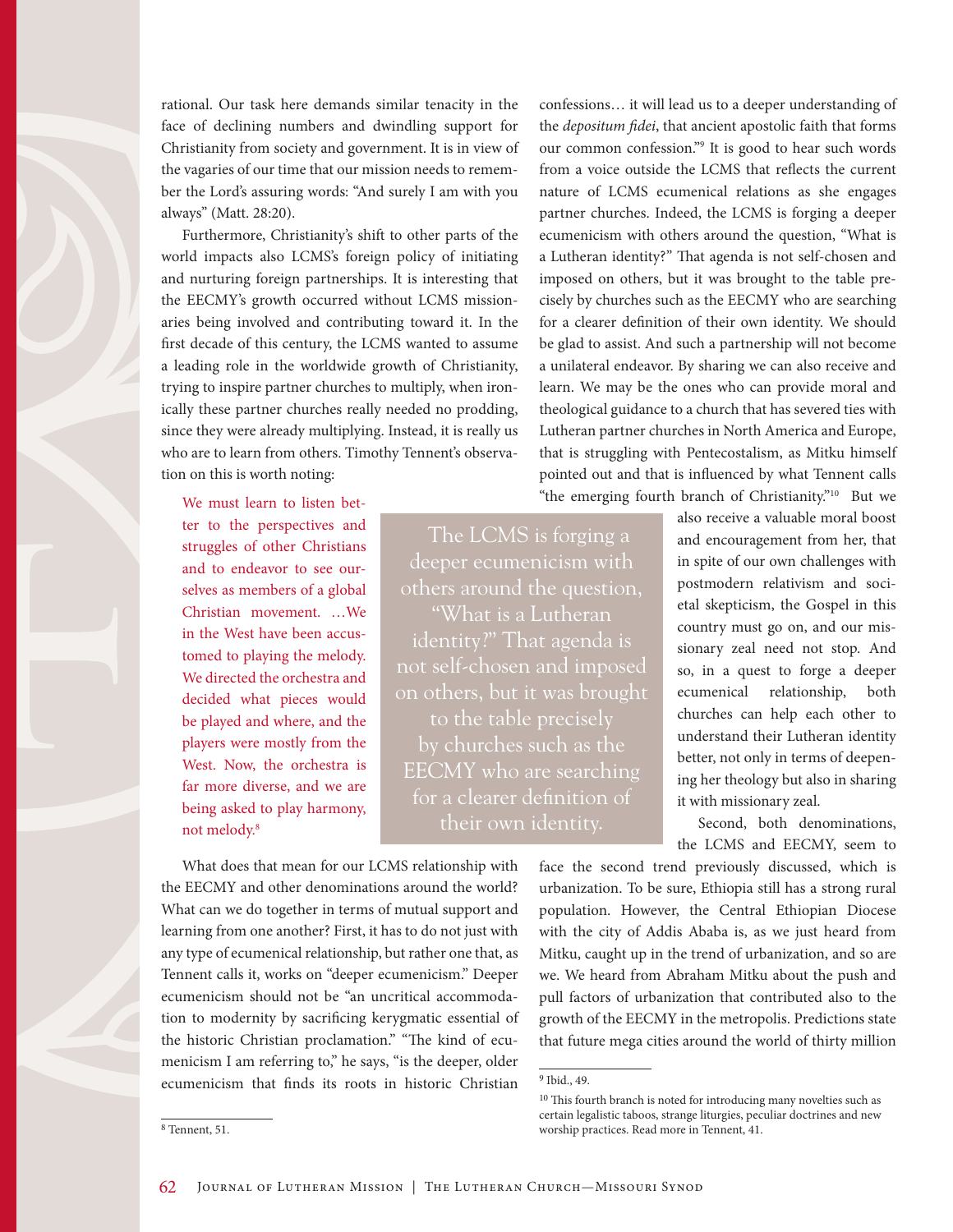rational. Our task here demands similar tenacity in the face of declining numbers and dwindling support for Christianity from society and government. It is in view of the vagaries of our time that our mission needs to remember the Lord's assuring words: "And surely I am with you always" (Matt. 28:20).

Furthermore, Christianity's shift to other parts of the world impacts also LCMS's foreign policy of initiating and nurturing foreign partnerships. It is interesting that the EECMY's growth occurred without LCMS missionaries being involved and contributing toward it. In the first decade of this century, the LCMS wanted to assume a leading role in the worldwide growth of Christianity, trying to inspire partner churches to multiply, when ironically these partner churches really needed no prodding, since they were already multiplying. Instead, it is really us who are to learn from others. Timothy Tennent's observation on this is worth noting:

We must learn to listen better to the perspectives and struggles of other Christians and to endeavor to see ourselves as members of a global Christian movement. …We in the West have been accustomed to playing the melody. We directed the orchestra and decided what pieces would be played and where, and the players were mostly from the West. Now, the orchestra is far more diverse, and we are being asked to play harmony, not melody.8

deeper ecumenicism with others around the question, "What is a Lutheran not self-chosen and imposed on others, but it was brought to the table precisely by churches such as the EECMY who are searching for a clearer definition of

partner churches. Indeed, the LCMS is forging a deeper ecumenicism with others around the question, "What is a Lutheran identity?" That agenda is not self-chosen and imposed on others, but it was brought to the table precisely by churches such as the EECMY who are searching for a clearer definition of their own identity. We should be glad to assist. And such a partnership will not become a unilateral endeavor. By sharing we can also receive and learn. We may be the ones who can provide moral and theological guidance to a church that has severed ties with Lutheran partner churches in North America and Europe, that is struggling with Pentecostalism, as Mitku himself pointed out and that is influenced by what Tennent calls "the emerging fourth branch of Christianity."10 But we

confessions… it will lead us to a deeper understanding of the *depositum fidei*, that ancient apostolic faith that forms our common confession."9 It is good to hear such words from a voice outside the LCMS that reflects the current nature of LCMS ecumenical relations as she engages

The LCMS is forging a their own identity.

also receive a valuable moral boost and encouragement from her, that in spite of our own challenges with postmodern relativism and societal skepticism, the Gospel in this country must go on, and our missionary zeal need not stop. And so, in a quest to forge a deeper ecumenical relationship, both churches can help each other to understand their Lutheran identity better, not only in terms of deepening her theology but also in sharing it with missionary zeal.

Second, both denominations, the LCMS and EECMY, seem to

What does that mean for our LCMS relationship with the EECMY and other denominations around the world? What can we do together in terms of mutual support and learning from one another? First, it has to do not just with any type of ecumenical relationship, but rather one that, as Tennent calls it, works on "deeper ecumenicism." Deeper ecumenicism should not be "an uncritical accommodation to modernity by sacrificing kerygmatic essential of the historic Christian proclamation." "The kind of ecumenicism I am referring to," he says, "is the deeper, older ecumenicism that finds its roots in historic Christian face the second trend previously discussed, which is urbanization. To be sure, Ethiopia still has a strong rural population. However, the Central Ethiopian Diocese with the city of Addis Ababa is, as we just heard from Mitku, caught up in the trend of urbanization, and so are we. We heard from Abraham Mitku about the push and pull factors of urbanization that contributed also to the growth of the EECMY in the metropolis. Predictions state that future mega cities around the world of thirty million

<sup>9</sup> Ibid., 49.

<sup>&</sup>lt;sup>10</sup> This fourth branch is noted for introducing many novelties such as certain legalistic taboos, strange liturgies, peculiar doctrines and new worship practices. Read more in Tennent, 41.

<sup>8</sup> Tennent, 51.